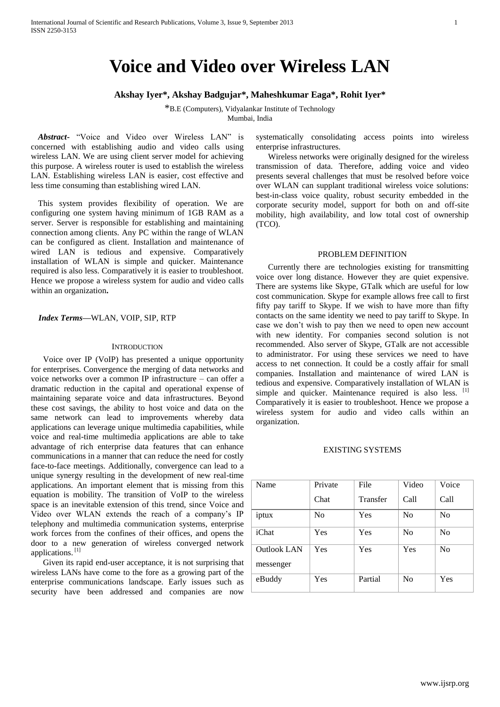# **Voice and Video over Wireless LAN**

#### **Akshay Iyer\*, Akshay Badgujar\*, Maheshkumar Eaga\*, Rohit Iyer\***

\*B.E (Computers), Vidyalankar Institute of Technology Mumbai, India

*Abstract***-** "Voice and Video over Wireless LAN" is concerned with establishing audio and video calls using wireless LAN. We are using client server model for achieving this purpose. A wireless router is used to establish the wireless LAN. Establishing wireless LAN is easier, cost effective and less time consuming than establishing wired LAN.

This system provides flexibility of operation. We are configuring one system having minimum of 1GB RAM as a server. Server is responsible for establishing and maintaining connection among clients. Any PC within the range of WLAN can be configured as client. Installation and maintenance of wired LAN is tedious and expensive. Comparatively installation of WLAN is simple and quicker. Maintenance required is also less. Comparatively it is easier to troubleshoot. Hence we propose a wireless system for audio and video calls within an organization**.**

#### *Index Terms***—**WLAN, VOIP, SIP, RTP

#### **INTRODUCTION**

Voice over IP (VoIP) has presented a unique opportunity for enterprises. Convergence the merging of data networks and voice networks over a common IP infrastructure – can offer a dramatic reduction in the capital and operational expense of maintaining separate voice and data infrastructures. Beyond these cost savings, the ability to host voice and data on the same network can lead to improvements whereby data applications can leverage unique multimedia capabilities, while voice and real-time multimedia applications are able to take advantage of rich enterprise data features that can enhance communications in a manner that can reduce the need for costly face-to-face meetings. Additionally, convergence can lead to a unique synergy resulting in the development of new real-time applications. An important element that is missing from this equation is mobility. The transition of VoIP to the wireless space is an inevitable extension of this trend, since Voice and Video over WLAN extends the reach of a company's IP telephony and multimedia communication systems, enterprise work forces from the confines of their offices, and opens the door to a new generation of wireless converged network applications.<sup>[1]</sup>

Given its rapid end-user acceptance, it is not surprising that wireless LANs have come to the fore as a growing part of the enterprise communications landscape. Early issues such as security have been addressed and companies are now

systematically consolidating access points into wireless enterprise infrastructures.

Wireless networks were originally designed for the wireless transmission of data. Therefore, adding voice and video presents several challenges that must be resolved before voice over WLAN can supplant traditional wireless voice solutions: best-in-class voice quality, robust security embedded in the corporate security model, support for both on and off-site mobility, high availability, and low total cost of ownership (TCO).

#### PROBLEM DEFINITION

Currently there are technologies existing for transmitting voice over long distance. However they are quiet expensive. There are systems like Skype, GTalk which are useful for low cost communication. Skype for example allows free call to first fifty pay tariff to Skype. If we wish to have more than fifty contacts on the same identity we need to pay tariff to Skype. In case we don't wish to pay then we need to open new account with new identity. For companies second solution is not recommended. Also server of Skype, GTalk are not accessible to administrator. For using these services we need to have access to net connection. It could be a costly affair for small companies. Installation and maintenance of wired LAN is tedious and expensive. Comparatively installation of WLAN is simple and quicker. Maintenance required is also less. [1] Comparatively it is easier to troubleshoot. Hence we propose a wireless system for audio and video calls within an organization.

#### EXISTING SYSTEMS

| Name               | Private | File     | Video          | Voice |
|--------------------|---------|----------|----------------|-------|
|                    | Chat    | Transfer | Call           | Call  |
| iptux              | No      | Yes      | N <sub>0</sub> | No    |
| iChat              | Yes     | Yes      | N <sub>0</sub> | No    |
| <b>Outlook LAN</b> | Yes     | Yes      | Yes            | No    |
| messenger          |         |          |                |       |
| eBuddy             | Yes     | Partial  | N <sub>0</sub> | Yes   |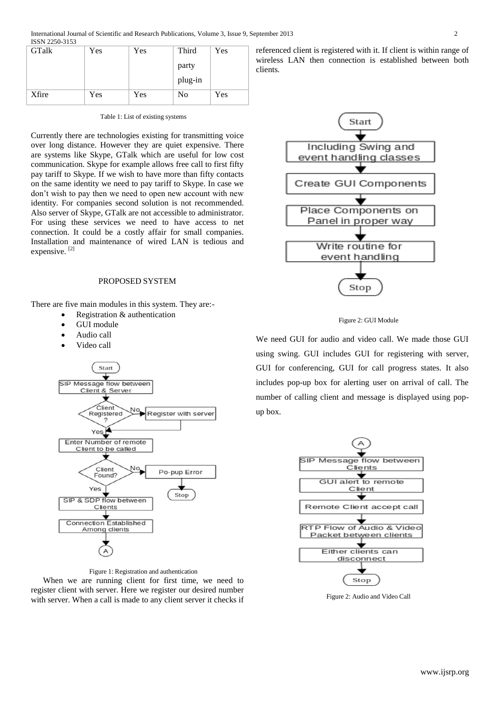| <b>GTalk</b> | Yes | Yes | Third   | Yes |
|--------------|-----|-----|---------|-----|
|              |     |     | party   |     |
|              |     |     | plug-in |     |
| Xfire        | Yes | Yes | No      | Yes |

Table 1: List of existing systems

Currently there are technologies existing for transmitting voice over long distance. However they are quiet expensive. There are systems like Skype, GTalk which are useful for low cost communication. Skype for example allows free call to first fifty pay tariff to Skype. If we wish to have more than fifty contacts on the same identity we need to pay tariff to Skype. In case we don't wish to pay then we need to open new account with new identity. For companies second solution is not recommended. Also server of Skype, GTalk are not accessible to administrator. For using these services we need to have access to net connection. It could be a costly affair for small companies. Installation and maintenance of wired LAN is tedious and expensive.<sup>[2]</sup>

# PROPOSED SYSTEM

There are five main modules in this system. They are:-

- Registration & authentication
- GUI module
- Audio call
- Video call





When we are running client for first time, we need to register client with server. Here we register our desired number with server. When a call is made to any client server it checks if referenced client is registered with it. If client is within range of wireless LAN then connection is established between both clients.



Figure 2: GUI Module

We need GUI for audio and video call. We made those GUI using swing. GUI includes GUI for registering with server, GUI for conferencing, GUI for call progress states. It also includes pop-up box for alerting user on arrival of call. The number of calling client and message is displayed using popup box.



Figure 2: Audio and Video Call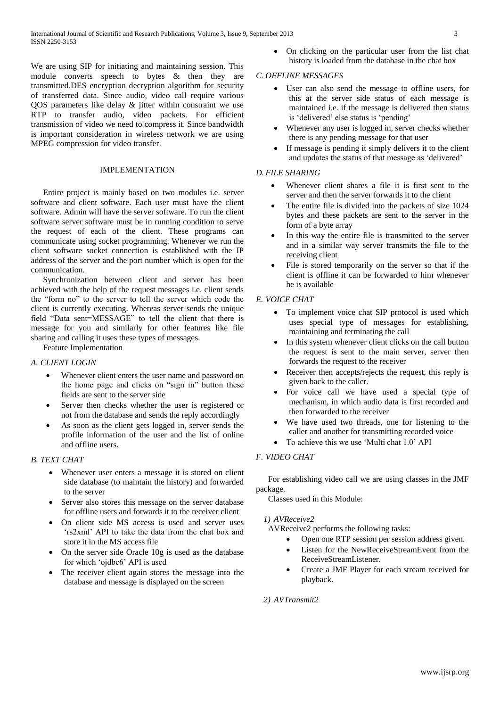We are using SIP for initiating and maintaining session. This module converts speech to bytes & then they are transmitted.DES encryption decryption algorithm for security of transferred data. Since audio, video call require various QOS parameters like delay & jitter within constraint we use RTP to transfer audio, video packets. For efficient transmission of video we need to compress it. Since bandwidth is important consideration in wireless network we are using MPEG compression for video transfer.

#### IMPLEMENTATION

Entire project is mainly based on two modules i.e. server software and client software. Each user must have the client software. Admin will have the server software. To run the client software server software must be in running condition to serve the request of each of the client. These programs can communicate using socket programming. Whenever we run the client software socket connection is established with the IP address of the server and the port number which is open for the communication.

Synchronization between client and server has been achieved with the help of the request messages i.e. client sends the "form no" to the server to tell the server which code the client is currently executing. Whereas server sends the unique field "Data sent=MESSAGE" to tell the client that there is message for you and similarly for other features like file sharing and calling it uses these types of messages.

Feature Implementation

# *A. CLIENT LOGIN*

- Whenever client enters the user name and password on the home page and clicks on "sign in" button these fields are sent to the server side
- Server then checks whether the user is registered or not from the database and sends the reply accordingly
- As soon as the client gets logged in, server sends the profile information of the user and the list of online and offline users.

#### *B. TEXT CHAT*

- Whenever user enters a message it is stored on client side database (to maintain the history) and forwarded to the server
- Server also stores this message on the server database for offline users and forwards it to the receiver client
- On client side MS access is used and server uses 'rs2xml' API to take the data from the chat box and store it in the MS access file
- On the server side Oracle 10g is used as the database for which 'ojdbc6' API is used
- The receiver client again stores the message into the database and message is displayed on the screen

 On clicking on the particular user from the list chat history is loaded from the database in the chat box

#### *C. OFFLINE MESSAGES*

- User can also send the message to offline users, for this at the server side status of each message is maintained i.e. if the message is delivered then status is 'delivered' else status is 'pending'
- Whenever any user is logged in, server checks whether there is any pending message for that user
- If message is pending it simply delivers it to the client and updates the status of that message as 'delivered'

### *D. FILE SHARING*

- Whenever client shares a file it is first sent to the server and then the server forwards it to the client
- The entire file is divided into the packets of size 1024 bytes and these packets are sent to the server in the form of a byte array
- In this way the entire file is transmitted to the server and in a similar way server transmits the file to the receiving client
- File is stored temporarily on the server so that if the client is offline it can be forwarded to him whenever he is available

#### *E. VOICE CHAT*

- To implement voice chat SIP protocol is used which uses special type of messages for establishing, maintaining and terminating the call
- In this system whenever client clicks on the call button the request is sent to the main server, server then forwards the request to the receiver
- Receiver then accepts/rejects the request, this reply is given back to the caller.
- For voice call we have used a special type of mechanism, in which audio data is first recorded and then forwarded to the receiver
- We have used two threads, one for listening to the caller and another for transmitting recorded voice
- To achieve this we use 'Multi chat 1.0' API

# *F. VIDEO CHAT*

For establishing video call we are using classes in the JMF package.

Classes used in this Module:

#### *1) AVReceive2*

AVReceive2 performs the following tasks:

- Open one RTP session per session address given.
- Listen for the NewReceiveStreamEvent from the ReceiveStreamListener.
- Create a JMF Player for each stream received for playback.

# *2) AVTransmit2*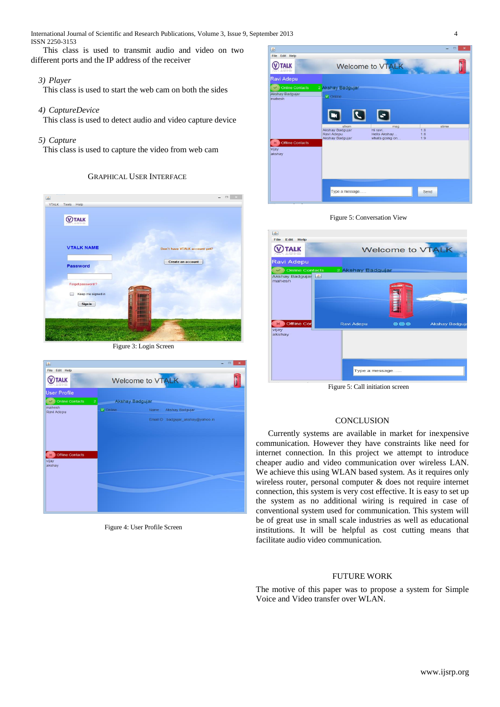This class is used to transmit audio and video on two different ports and the IP address of the receiver

# *3) Player*

This class is used to start the web cam on both the sides

### *4) CaptureDevice*

This class is used to detect audio and video capture device

# *5) Capture*

This class is used to capture the video from web cam

# GRAPHICAL USER INTERFACE



Figure 3: Login Screen

| 函                                 |                  | $\times$<br>▣                      |  |
|-----------------------------------|------------------|------------------------------------|--|
| File<br>Edit Help                 |                  |                                    |  |
| <b>TALK</b>                       | Welcome to VTALK |                                    |  |
| <b>User Profile</b>               |                  |                                    |  |
| Online Contacts<br>$\overline{2}$ | Akshay Badgujar  |                                    |  |
| mahesh<br>Ravi Adepu              | Online           | Name:<br>Akshay Badgujar           |  |
|                                   |                  | Email ID :badgujar_akshay@yahoo.in |  |
|                                   |                  |                                    |  |
|                                   |                  |                                    |  |
| <b>Offline Contacts</b>           |                  |                                    |  |
| vijay<br>akshay                   |                  |                                    |  |
|                                   |                  |                                    |  |
|                                   |                  |                                    |  |
|                                   |                  |                                    |  |
|                                   |                  |                                    |  |
|                                   |                  |                                    |  |

Figure 4: User Profile Screen



#### Figure 5: Conversation View



Figure 5: Call initiation screen

#### **CONCLUSION**

Currently systems are available in market for inexpensive communication. However they have constraints like need for internet connection. In this project we attempt to introduce cheaper audio and video communication over wireless LAN. We achieve this using WLAN based system. As it requires only wireless router, personal computer & does not require internet connection, this system is very cost effective. It is easy to set up the system as no additional wiring is required in case of conventional system used for communication. This system will be of great use in small scale industries as well as educational institutions. It will be helpful as cost cutting means that facilitate audio video communication.

# FUTURE WORK

The motive of this paper was to propose a system for Simple Voice and Video transfer over WLAN.